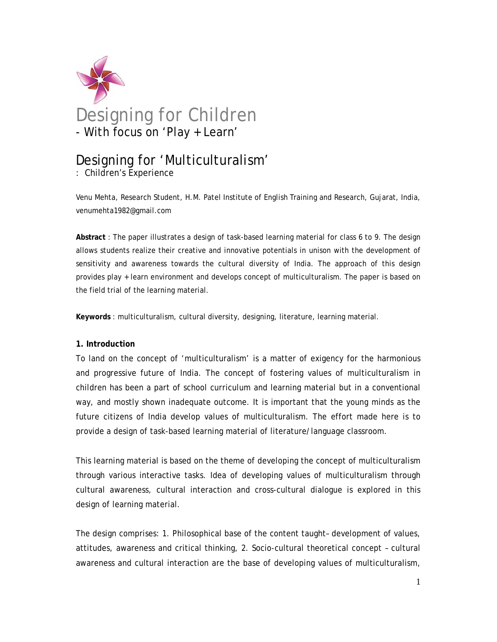

# Designing for 'Multiculturalism'

: Children's Experience

Venu Mehta, Research Student, H.M. Patel Institute of English Training and Research, Gujarat, India, venumehta1982@gmail.com

**Abstract** : The paper illustrates a design of task-based learning material for class 6 to 9. The design allows students realize their creative and innovative potentials in unison with the development of sensitivity and awareness towards the cultural diversity of India. The approach of this design provides play + learn environment and develops concept of multiculturalism. The paper is based on the field trial of the learning material.

**Keywords** : multiculturalism, cultural diversity, designing, literature, learning material.

### **1. Introduction**

To land on the concept of 'multiculturalism' is a matter of exigency for the harmonious and progressive future of India. The concept of fostering values of multiculturalism in children has been a part of school curriculum and learning material but in a conventional way, and mostly shown inadequate outcome. It is important that the young minds as the future citizens of India develop values of multiculturalism. The effort made here is to provide a design of task-based learning material of literature/language classroom.

This learning material is based on the theme of developing the concept of multiculturalism through various interactive tasks. Idea of developing values of multiculturalism through cultural awareness, cultural interaction and cross-cultural dialogue is explored in this design of learning material.

The design comprises: 1. Philosophical base of the content taught– development of values, attitudes, awareness and critical thinking, 2. Socio-cultural theoretical concept – cultural awareness and cultural interaction are the base of developing values of multiculturalism,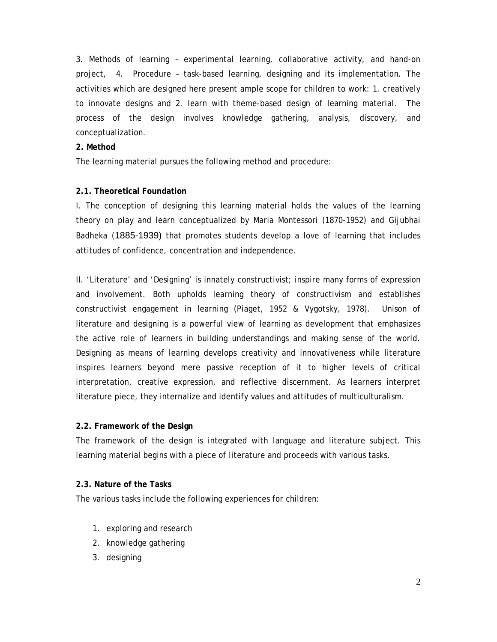3. Methods of learning – experimental learning, collaborative activity, and hand-on project, 4. Procedure – task-based learning, designing and its implementation. The activities which are designed here present ample scope for children to work: 1. creatively to innovate designs and 2. learn with theme-based design of learning material. The process of the design involves knowledge gathering, analysis, discovery, and conceptualization.

### **2. Method**

The learning material pursues the following method and procedure:

### **2.1. Theoretical Foundation**

I. The conception of designing this learning material holds the values of the learning theory on play and learn conceptualized by Maria Montessori (1870-1952) and Gijubhai Badheka (1885-1939) that promotes students develop a love of learning that includes attitudes of confidence, concentration and independence.

II. 'Literature' and 'Designing' is innately constructivist; inspire many forms of expression and involvement. Both upholds learning theory of constructivism and establishes constructivist engagement in learning (Piaget, 1952 & Vygotsky, 1978). Unison of literature and designing is a powerful view of learning as development that emphasizes the active role of learners in building understandings and making sense of the world. Designing as means of learning develops creativity and innovativeness while literature inspires learners beyond mere passive reception of it to higher levels of critical interpretation, creative expression, and reflective discernment. As learners interpret literature piece, they internalize and identify values and attitudes of multiculturalism.

#### **2.2. Framework of the Design**

The framework of the design is integrated with language and literature subject. This learning material begins with a piece of literature and proceeds with various tasks.

#### **2.3. Nature of the Tasks**

The various tasks include the following experiences for children:

- 1. exploring and research
- 2. knowledge gathering
- 3. designing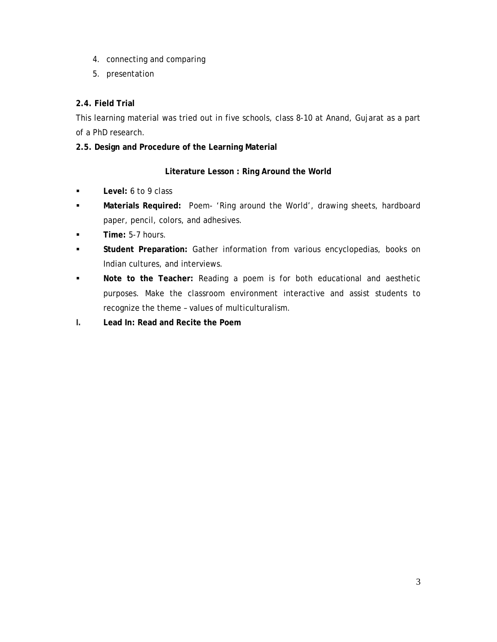- 4. connecting and comparing
- 5. presentation

# **2.4. Field Trial**

This learning material was tried out in five schools, class 8-10 at Anand, Gujarat as a part of a PhD research.

**2.5. Design and Procedure of the Learning Material** 

# **Literature Lesson : Ring Around the World**

- **Level:** 6 to 9 class
- **Materials Required:** Poem- 'Ring around the World', drawing sheets, hardboard paper, pencil, colors, and adhesives.
- **Time:** 5-7 hours.
- **Student Preparation:** Gather information from various encyclopedias, books on Indian cultures, and interviews.
- **Note to the Teacher:** Reading a poem is for both educational and aesthetic purposes. Make the classroom environment interactive and assist students to recognize the theme – values of multiculturalism.
- **I. Lead In: Read and Recite the Poem**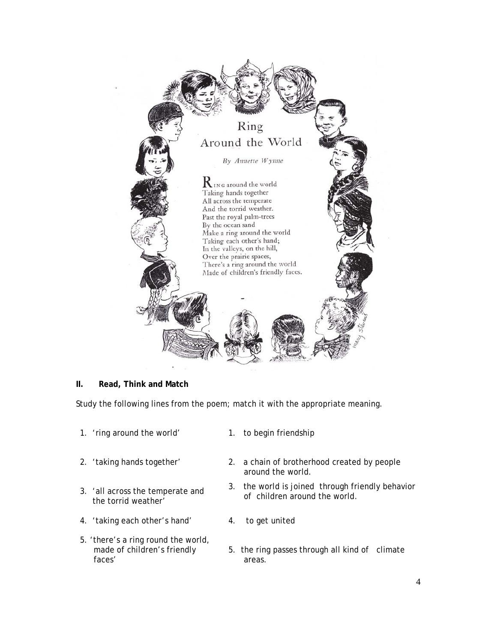

### **II. Read, Think and Match**

Study the following lines from the poem; match it with the appropriate meaning.

- 1. 'ring around the world' 1. to begin friendship
- 
- 3. 'all across the temperate and the torrid weather'
- 4. 'taking each other's hand' 4. to get united
- 5. 'there's a ring round the world, made of children's friendly faces'
- 
- 2. 'taking hands together' 2. a chain of brotherhood created by people around the world.
	- 3. the world is joined through friendly behavior of children around the world.
	-
	- 5. the ring passes through all kind of climate areas.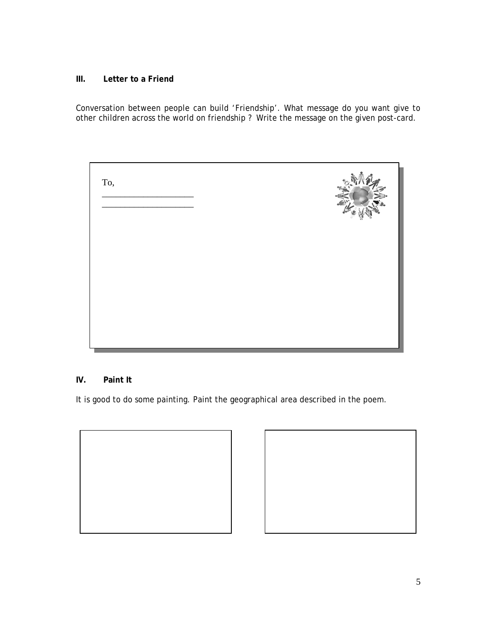### **III. Letter to a Friend**

Conversation between people can build 'Friendship'. What message do you want give to other children across the world on friendship ? Write the message on the given post-card.

| To, |  |
|-----|--|
|     |  |
|     |  |

## **IV. Paint It**

It is good to do some painting. Paint the geographical area described in the poem.



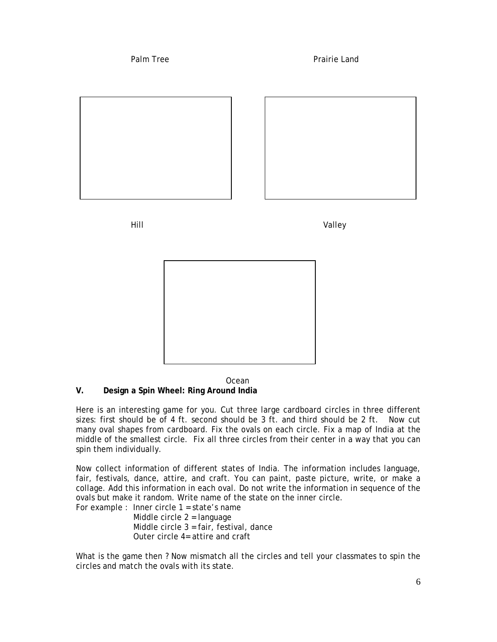

 Ocean **V. Design a Spin Wheel: Ring Around India** 

Here is an interesting game for you. Cut three large cardboard circles in three different sizes: first should be of 4 ft. second should be 3 ft. and third should be 2 ft. Now cut many oval shapes from cardboard. Fix the ovals on each circle. Fix a map of India at the middle of the smallest circle. Fix all three circles from their center in a way that you can spin them individually.

Now collect information of different states of India. The information includes language, fair, festivals, dance, attire, and craft. You can paint, paste picture, write, or make a collage. Add this information in each oval. Do not write the information in sequence of the ovals but make it random. Write name of the state on the inner circle.

For example : Inner circle 1 = state's name Middle circle 2 = language Middle circle 3 = fair, festival, dance Outer circle 4= attire and craft

What is the game then ? Now mismatch all the circles and tell your classmates to spin the circles and match the ovals with its state.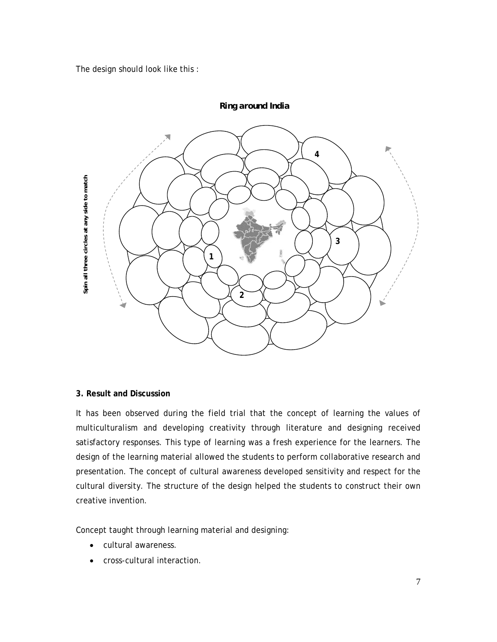The design should look like this :



*Ring around India*

### **3. Result and Discussion**

It has been observed during the field trial that the concept of learning the values of multiculturalism and developing creativity through literature and designing received satisfactory responses. This type of learning was a fresh experience for the learners. The design of the learning material allowed the students to perform collaborative research and presentation. The concept of cultural awareness developed sensitivity and respect for the cultural diversity. The structure of the design helped the students to construct their own creative invention.

Concept taught through learning material and designing:

- cultural awareness.
- cross-cultural interaction.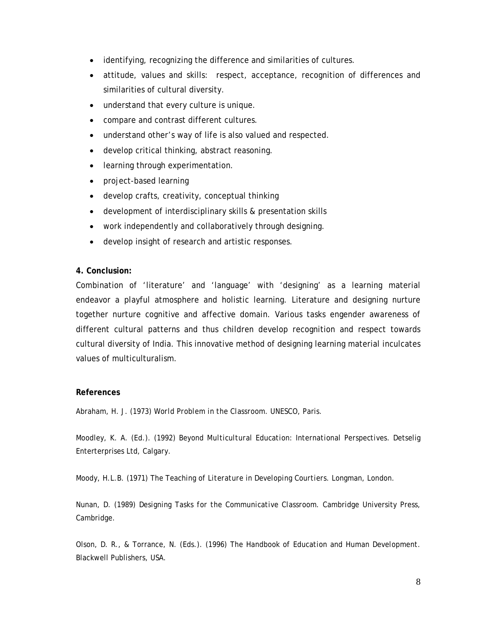- identifying, recognizing the difference and similarities of cultures.
- attitude, values and skills: respect, acceptance, recognition of differences and similarities of cultural diversity.
- understand that every culture is unique.
- compare and contrast different cultures.
- understand other's way of life is also valued and respected.
- develop critical thinking, abstract reasoning.
- learning through experimentation.
- project-based learning
- develop crafts, creativity, conceptual thinking
- development of interdisciplinary skills & presentation skills
- work independently and collaboratively through designing.
- develop insight of research and artistic responses.

#### **4. Conclusion:**

Combination of 'literature' and 'language' with 'designing' as a learning material endeavor a playful atmosphere and holistic learning. Literature and designing nurture together nurture cognitive and affective domain. Various tasks engender awareness of different cultural patterns and thus children develop recognition and respect towards cultural diversity of India. This innovative method of designing learning material inculcates values of multiculturalism.

#### **References**

Abraham, H. J. (1973) *World Problem in the Classroom.* UNESCO, Paris.

Moodley, K. A. (Ed.). (1992) *Beyond Multicultural Education: International Perspectives*. Detselig Enterterprises Ltd, Calgary.

Moody, H.L.B. (1971) *The Teaching of Literature in Developing Courtiers*. Longman, London.

Nunan, D. (1989) *Designing Tasks for the Communicative Classroom*. Cambridge University Press, Cambridge.

Olson, D. R., & Torrance, N. (Eds.). (1996) *The Handbook of Education and Human Development*. Blackwell Publishers, USA.